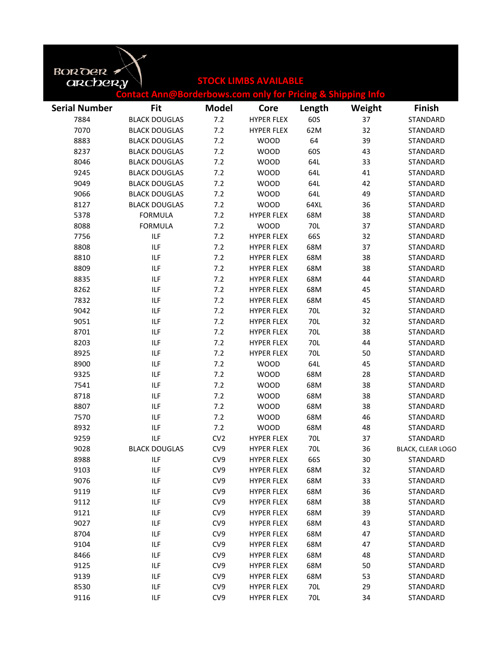| BOROGR               |                                                                        |                 |                              |        |        |                          |
|----------------------|------------------------------------------------------------------------|-----------------|------------------------------|--------|--------|--------------------------|
| archery              |                                                                        |                 | <b>STOCK LIMBS AVAILABLE</b> |        |        |                          |
|                      | <b>Contact Ann@Borderbows.com only for Pricing &amp; Shipping Info</b> |                 |                              |        |        |                          |
| <b>Serial Number</b> | <b>Fit</b>                                                             | <b>Model</b>    | Core                         | Length | Weight | <b>Finish</b>            |
| 7884                 | <b>BLACK DOUGLAS</b>                                                   | 7.2             | <b>HYPER FLEX</b>            | 60S    | 37     | STANDARD                 |
| 7070                 | <b>BLACK DOUGLAS</b>                                                   | 7.2             | <b>HYPER FLEX</b>            | 62M    | 32     | STANDARD                 |
| 8883                 | <b>BLACK DOUGLAS</b>                                                   | 7.2             | <b>WOOD</b>                  | 64     | 39     | STANDARD                 |
| 8237                 | <b>BLACK DOUGLAS</b>                                                   | 7.2             | <b>WOOD</b>                  | 60S    | 43     | STANDARD                 |
| 8046                 | <b>BLACK DOUGLAS</b>                                                   | 7.2             | <b>WOOD</b>                  | 64L    | 33     | STANDARD                 |
| 9245                 | <b>BLACK DOUGLAS</b>                                                   | 7.2             | <b>WOOD</b>                  | 64L    | 41     | STANDARD                 |
| 9049                 | <b>BLACK DOUGLAS</b>                                                   | 7.2             | <b>WOOD</b>                  | 64L    | 42     | STANDARD                 |
| 9066                 | <b>BLACK DOUGLAS</b>                                                   | 7.2             | <b>WOOD</b>                  | 64L    | 49     | STANDARD                 |
| 8127                 | <b>BLACK DOUGLAS</b>                                                   | 7.2             | <b>WOOD</b>                  | 64XL   | 36     | STANDARD                 |
| 5378                 | <b>FORMULA</b>                                                         | 7.2             | <b>HYPER FLEX</b>            | 68M    | 38     | STANDARD                 |
| 8088                 | <b>FORMULA</b>                                                         | 7.2             | <b>WOOD</b>                  | 70L    | 37     | STANDARD                 |
| 7756                 | <b>ILF</b>                                                             | 7.2             | <b>HYPER FLEX</b>            | 66S    | 32     | STANDARD                 |
| 8808                 | <b>ILF</b>                                                             | 7.2             | <b>HYPER FLEX</b>            | 68M    | 37     | STANDARD                 |
| 8810                 | <b>ILF</b>                                                             | 7.2             | <b>HYPER FLEX</b>            | 68M    | 38     | STANDARD                 |
| 8809                 | <b>ILF</b>                                                             | 7.2             | <b>HYPER FLEX</b>            | 68M    | 38     | STANDARD                 |
| 8835                 | ILF                                                                    | 7.2             | <b>HYPER FLEX</b>            | 68M    | 44     | STANDARD                 |
| 8262                 | ILF                                                                    | 7.2             | <b>HYPER FLEX</b>            | 68M    | 45     | STANDARD                 |
| 7832                 | <b>ILF</b>                                                             | 7.2             | <b>HYPER FLEX</b>            | 68M    | 45     | STANDARD                 |
| 9042                 | <b>ILF</b>                                                             | 7.2             | <b>HYPER FLEX</b>            | 70L    | 32     | STANDARD                 |
| 9051                 | <b>ILF</b>                                                             | 7.2             | <b>HYPER FLEX</b>            | 70L    | 32     | STANDARD                 |
| 8701                 | ILF                                                                    | 7.2             | <b>HYPER FLEX</b>            | 70L    | 38     | STANDARD                 |
| 8203                 | ILF                                                                    | 7.2             | <b>HYPER FLEX</b>            | 70L    | 44     | STANDARD                 |
| 8925                 | <b>ILF</b>                                                             | 7.2             | <b>HYPER FLEX</b>            | 70L    | 50     | STANDARD                 |
| 8900                 | <b>ILF</b>                                                             | 7.2             | <b>WOOD</b>                  | 64L    | 45     | STANDARD                 |
| 9325                 | <b>ILF</b>                                                             | 7.2             | <b>WOOD</b>                  | 68M    | 28     | STANDARD                 |
| 7541                 | <b>ILF</b>                                                             | 7.2             | <b>WOOD</b>                  | 68M    | 38     | STANDARD                 |
| 8718                 | ILF                                                                    | 7.2             | <b>WOOD</b>                  | 68M    | 38     | STANDARD                 |
| 8807                 | ILF                                                                    | 7.2             | <b>WOOD</b>                  | 68M    | 38     | STANDARD                 |
| 7570                 | ILF                                                                    | 7.2             | <b>WOOD</b>                  | 68M    | 46     | STANDARD                 |
| 8932                 | <b>ILF</b>                                                             | 7.2             | <b>WOOD</b>                  | 68M    | 48     | STANDARD                 |
| 9259                 | <b>ILF</b>                                                             | CV <sub>2</sub> | <b>HYPER FLEX</b>            | 70L    | 37     | STANDARD                 |
| 9028                 | <b>BLACK DOUGLAS</b>                                                   | CV9             | <b>HYPER FLEX</b>            | 70L    | 36     | <b>BLACK, CLEAR LOGO</b> |
| 8988                 | <b>ILF</b>                                                             | CV9             | <b>HYPER FLEX</b>            | 66S    | 30     | STANDARD                 |
| 9103                 | ILF                                                                    | CV <sub>9</sub> | <b>HYPER FLEX</b>            | 68M    | 32     | STANDARD                 |
| 9076                 | ILF                                                                    | CV9             | <b>HYPER FLEX</b>            | 68M    | 33     | STANDARD                 |
| 9119                 | ILF                                                                    | CV9             | <b>HYPER FLEX</b>            | 68M    | 36     | STANDARD                 |
| 9112                 | ILF                                                                    | CV9             | <b>HYPER FLEX</b>            | 68M    | 38     | STANDARD                 |
| 9121                 | ILF                                                                    | CV9             | <b>HYPER FLEX</b>            | 68M    | 39     | STANDARD                 |
| 9027                 | ILF                                                                    | CV9             | <b>HYPER FLEX</b>            | 68M    | 43     | STANDARD                 |
| 8704                 | ILF                                                                    | CV9             | <b>HYPER FLEX</b>            | 68M    | 47     | STANDARD                 |
| 9104                 | ILF                                                                    | CV9             | <b>HYPER FLEX</b>            | 68M    | 47     | STANDARD                 |
| 8466                 | ILF                                                                    | CV9             | <b>HYPER FLEX</b>            | 68M    | 48     | STANDARD                 |
| 9125                 | <b>ILF</b>                                                             | CV9             | <b>HYPER FLEX</b>            | 68M    | 50     | STANDARD                 |
| 9139                 | ILF                                                                    | CV9             | <b>HYPER FLEX</b>            | 68M    | 53     | STANDARD                 |
| 8530                 | ILF                                                                    | CV9             | <b>HYPER FLEX</b>            | 70L    | 29     | STANDARD                 |
| 9116                 | ILF                                                                    | CV9             | <b>HYPER FLEX</b>            | 70L    | 34     | STANDARD                 |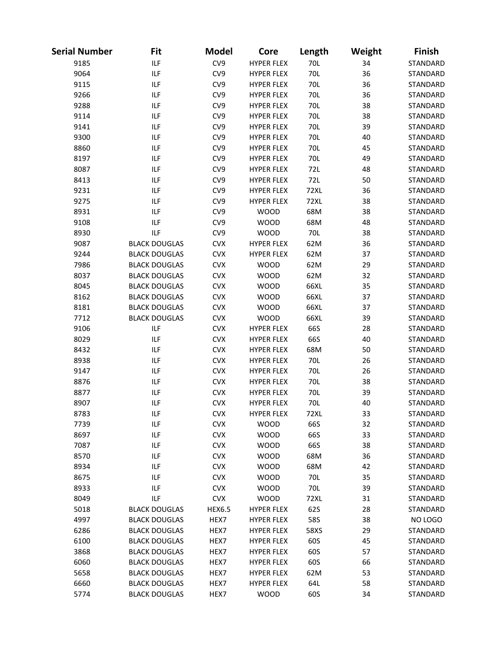| Serial Number | Fit                  | <b>Model</b>  | Core              | Length      | Weight | <b>Finish</b> |
|---------------|----------------------|---------------|-------------------|-------------|--------|---------------|
| 9185          | ILF                  | CV9           | <b>HYPER FLEX</b> | 70L         | 34     | STANDARD      |
| 9064          | <b>ILF</b>           | CV9           | <b>HYPER FLEX</b> | 70L         | 36     | STANDARD      |
| 9115          | <b>ILF</b>           | CV9           | <b>HYPER FLEX</b> | 70L         | 36     | STANDARD      |
| 9266          | <b>ILF</b>           | CV9           | <b>HYPER FLEX</b> | 70L         | 36     | STANDARD      |
| 9288          | <b>ILF</b>           | CV9           | <b>HYPER FLEX</b> | 70L         | 38     | STANDARD      |
| 9114          | <b>ILF</b>           | CV9           | <b>HYPER FLEX</b> | 70L         | 38     | STANDARD      |
| 9141          | <b>ILF</b>           | CV9           | <b>HYPER FLEX</b> | 70L         | 39     | STANDARD      |
| 9300          | <b>ILF</b>           | CV9           | <b>HYPER FLEX</b> | 70L         | 40     | STANDARD      |
| 8860          | <b>ILF</b>           | CV9           | <b>HYPER FLEX</b> | 70L         | 45     | STANDARD      |
| 8197          | <b>ILF</b>           | CV9           | <b>HYPER FLEX</b> | 70L         | 49     | STANDARD      |
| 8087          | <b>ILF</b>           | CV9           | <b>HYPER FLEX</b> | 72L         | 48     | STANDARD      |
| 8413          | <b>ILF</b>           | CV9           | <b>HYPER FLEX</b> | 72L         | 50     | STANDARD      |
| 9231          | <b>ILF</b>           | CV9           | <b>HYPER FLEX</b> | <b>72XL</b> | 36     | STANDARD      |
| 9275          | <b>ILF</b>           | CV9           | <b>HYPER FLEX</b> | <b>72XL</b> | 38     | STANDARD      |
| 8931          | <b>ILF</b>           | CV9           | <b>WOOD</b>       | 68M         | 38     | STANDARD      |
| 9108          | ILF                  | CV9           | <b>WOOD</b>       | 68M         | 48     | STANDARD      |
| 8930          | <b>ILF</b>           | CV9           | <b>WOOD</b>       | 70L         | 38     | STANDARD      |
| 9087          | <b>BLACK DOUGLAS</b> | <b>CVX</b>    | <b>HYPER FLEX</b> | 62M         | 36     | STANDARD      |
| 9244          | <b>BLACK DOUGLAS</b> | <b>CVX</b>    | <b>HYPER FLEX</b> | 62M         | 37     | STANDARD      |
| 7986          | <b>BLACK DOUGLAS</b> | <b>CVX</b>    | <b>WOOD</b>       | 62M         | 29     | STANDARD      |
| 8037          | <b>BLACK DOUGLAS</b> | <b>CVX</b>    | <b>WOOD</b>       | 62M         | 32     | STANDARD      |
| 8045          | <b>BLACK DOUGLAS</b> | <b>CVX</b>    | <b>WOOD</b>       | 66XL        | 35     | STANDARD      |
| 8162          | <b>BLACK DOUGLAS</b> | <b>CVX</b>    | <b>WOOD</b>       | 66XL        | 37     | STANDARD      |
| 8181          | <b>BLACK DOUGLAS</b> | <b>CVX</b>    | <b>WOOD</b>       | 66XL        | 37     | STANDARD      |
| 7712          | <b>BLACK DOUGLAS</b> | <b>CVX</b>    | <b>WOOD</b>       | 66XL        | 39     | STANDARD      |
| 9106          | <b>ILF</b>           | <b>CVX</b>    | <b>HYPER FLEX</b> | 66S         | 28     | STANDARD      |
| 8029          | <b>ILF</b>           | <b>CVX</b>    | <b>HYPER FLEX</b> | 66S         | 40     | STANDARD      |
| 8432          | <b>ILF</b>           | <b>CVX</b>    | <b>HYPER FLEX</b> | 68M         | 50     | STANDARD      |
| 8938          | <b>ILF</b>           | <b>CVX</b>    | <b>HYPER FLEX</b> | 70L         | 26     | STANDARD      |
| 9147          | <b>ILF</b>           | <b>CVX</b>    | <b>HYPER FLEX</b> | 70L         | 26     | STANDARD      |
| 8876          | ILF                  | <b>CVX</b>    | <b>HYPER FLEX</b> | 70L         | 38     | STANDARD      |
| 8877          | <b>ILF</b>           | <b>CVX</b>    | <b>HYPER FLEX</b> | 70L         | 39     | STANDARD      |
| 8907          | <b>ILF</b>           | <b>CVX</b>    | <b>HYPER FLEX</b> | 70L         | 40     | STANDARD      |
| 8783          | ILF                  | <b>CVX</b>    | <b>HYPER FLEX</b> | 72XL        | 33     | STANDARD      |
| 7739          | ILF                  | <b>CVX</b>    | <b>WOOD</b>       | 66S         | 32     | STANDARD      |
| 8697          | <b>ILF</b>           | <b>CVX</b>    | <b>WOOD</b>       | 66S         | 33     | STANDARD      |
| 7087          | ILF                  | <b>CVX</b>    | <b>WOOD</b>       | 66S         | 38     | STANDARD      |
| 8570          | ILF                  | <b>CVX</b>    | <b>WOOD</b>       | 68M         | 36     | STANDARD      |
| 8934          | ILF                  | <b>CVX</b>    | <b>WOOD</b>       | 68M         | 42     | STANDARD      |
| 8675          | ILF                  | <b>CVX</b>    | <b>WOOD</b>       | 70L         | 35     | STANDARD      |
| 8933          | ILF                  | <b>CVX</b>    | <b>WOOD</b>       | 70L         | 39     | STANDARD      |
| 8049          | <b>ILF</b>           | <b>CVX</b>    | <b>WOOD</b>       | <b>72XL</b> | 31     | STANDARD      |
| 5018          | <b>BLACK DOUGLAS</b> | <b>HEX6.5</b> | <b>HYPER FLEX</b> | 62S         | 28     | STANDARD      |
| 4997          | <b>BLACK DOUGLAS</b> | HEX7          | <b>HYPER FLEX</b> | 58S         | 38     | NO LOGO       |
| 6286          | <b>BLACK DOUGLAS</b> | HEX7          | <b>HYPER FLEX</b> | 58XS        | 29     | STANDARD      |
| 6100          | <b>BLACK DOUGLAS</b> | HEX7          | <b>HYPER FLEX</b> | 60S         | 45     | STANDARD      |
| 3868          | <b>BLACK DOUGLAS</b> | HEX7          | <b>HYPER FLEX</b> | 60S         | 57     | STANDARD      |
| 6060          | <b>BLACK DOUGLAS</b> | HEX7          | <b>HYPER FLEX</b> | 60S         | 66     | STANDARD      |
| 5658          | <b>BLACK DOUGLAS</b> | HEX7          | <b>HYPER FLEX</b> | 62M         | 53     | STANDARD      |
| 6660          | <b>BLACK DOUGLAS</b> | HEX7          | <b>HYPER FLEX</b> | 64L         | 58     | STANDARD      |
| 5774          | <b>BLACK DOUGLAS</b> | HEX7          | <b>WOOD</b>       | 60S         | 34     | STANDARD      |